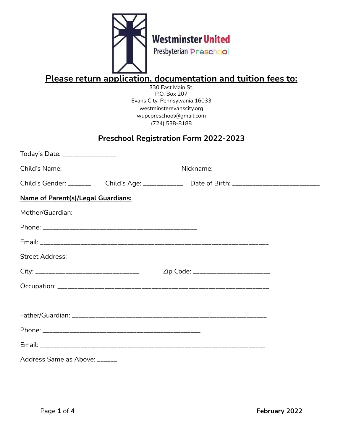

# **Please return application, documentation and tuition fees to:**

330 East Main St. P.O. Box 207 Evans City, Pennsylvania 16033 westminsterevanscity.org wupcpreschool@gmail.com (724) 538-8188

# **Preschool Registration Form 2022-2023**

| Today's Date: _________________                                                         |  |                                     |  |
|-----------------------------------------------------------------------------------------|--|-------------------------------------|--|
| Child's Name: __________________________________                                        |  |                                     |  |
| Child's Gender: _______ Child's Age: ___________ Date of Birth: _______________________ |  |                                     |  |
| <b>Name of Parent(s)/Legal Guardians:</b>                                               |  |                                     |  |
|                                                                                         |  |                                     |  |
|                                                                                         |  |                                     |  |
|                                                                                         |  |                                     |  |
|                                                                                         |  |                                     |  |
|                                                                                         |  | Zip Code: _________________________ |  |
|                                                                                         |  |                                     |  |
|                                                                                         |  |                                     |  |
|                                                                                         |  |                                     |  |
|                                                                                         |  |                                     |  |
|                                                                                         |  |                                     |  |
| Address Same as Above: ______                                                           |  |                                     |  |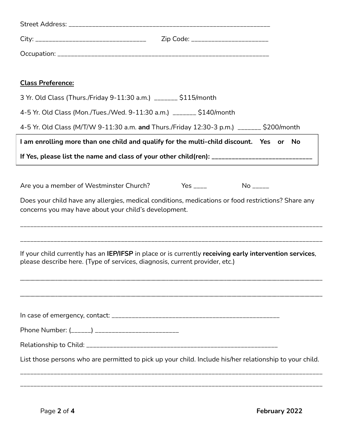| <b>Class Preference:</b>                                                                                                                                                               |
|----------------------------------------------------------------------------------------------------------------------------------------------------------------------------------------|
| 3 Yr. Old Class (Thurs./Friday 9-11:30 a.m.) _______ \$115/month                                                                                                                       |
| 4-5 Yr. Old Class (Mon./Tues./Wed. 9-11:30 a.m.) _______ \$140/month                                                                                                                   |
| 4-5 Yr. Old Class (M/T/W 9-11:30 a.m. and Thurs./Friday 12:30-3 p.m.) _______ \$200/month                                                                                              |
| I am enrolling more than one child and qualify for the multi-child discount. Yes or No                                                                                                 |
| If Yes, please list the name and class of your other child(ren): ___________________________________                                                                                   |
|                                                                                                                                                                                        |
| $Yes$ ____<br>Are you a member of Westminster Church?                                                                                                                                  |
| Does your child have any allergies, medical conditions, medications or food restrictions? Share any<br>concerns you may have about your child's development.                           |
| If your child currently has an IEP/IFSP in place or is currently receiving early intervention services,<br>please describe here. (Type of services, diagnosis, current provider, etc.) |
| Phone Number: (______) ____________________________                                                                                                                                    |
|                                                                                                                                                                                        |
| List those persons who are permitted to pick up your child. Include his/her relationship to your child.                                                                                |
|                                                                                                                                                                                        |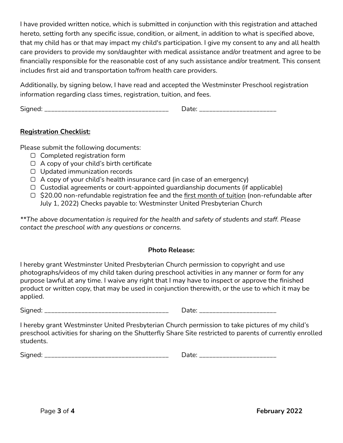I have provided written notice, which is submitted in conjunction with this registration and attached hereto, setting forth any specific issue, condition, or ailment, in addition to what is specified above, that my child has or that may impact my child's participation. I give my consent to any and all health care providers to provide my son/daughter with medical assistance and/or treatment and agree to be financially responsible for the reasonable cost of any such assistance and/or treatment. This consent includes first aid and transportation to/from health care providers.

Additionally, by signing below, I have read and accepted the Westminster Preschool registration information regarding class times, registration, tuition, and fees.

Signed: \_\_\_\_\_\_\_\_\_\_\_\_\_\_\_\_\_\_\_\_\_\_\_\_\_\_\_\_\_\_\_\_\_\_\_\_\_ Date: \_\_\_\_\_\_\_\_\_\_\_\_\_\_\_\_\_\_\_\_\_\_\_

#### **Registration Checklist:**

Please submit the following documents:

- ▢ Completed registration form
- ▢ A copy of your child's birth certificate
- ▢ Updated immunization records
- $\Box$  A copy of your child's health insurance card (in case of an emergency)
- ▢ Custodial agreements or court-appointed guardianship documents (if applicable)
- ▢ \$20.00 non-refundable registration fee and the first month of tuition (non-refundable after July 1, 2022) Checks payable to: Westminster United Presbyterian Church

*\*\*The above documentation is required for the health and safety of students and staff. Please contact the preschool with any questions or concerns.*

#### **Photo Release:**

I hereby grant Westminster United Presbyterian Church permission to copyright and use photographs/videos of my child taken during preschool activities in any manner or form for any purpose lawful at any time. I waive any right that I may have to inspect or approve the finished product or written copy, that may be used in conjunction therewith, or the use to which it may be applied.

Signed: \_\_\_\_\_\_\_\_\_\_\_\_\_\_\_\_\_\_\_\_\_\_\_\_\_\_\_\_\_\_\_\_\_\_\_\_\_ Date: \_\_\_\_\_\_\_\_\_\_\_\_\_\_\_\_\_\_\_\_\_\_\_

I hereby grant Westminster United Presbyterian Church permission to take pictures of my child's preschool activities for sharing on the Shutterfly Share Site restricted to parents of currently enrolled students.

Signed: \_\_\_\_\_\_\_\_\_\_\_\_\_\_\_\_\_\_\_\_\_\_\_\_\_\_\_\_\_\_\_\_\_\_\_\_\_ Date: \_\_\_\_\_\_\_\_\_\_\_\_\_\_\_\_\_\_\_\_\_\_\_